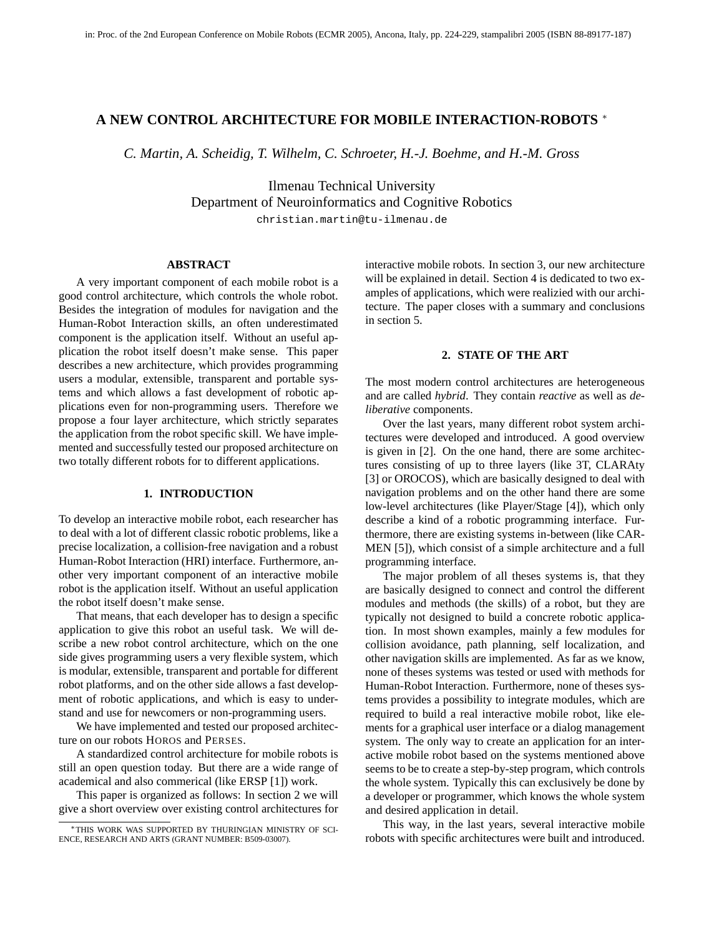# **A NEW CONTROL ARCHITECTURE FOR MOBILE INTERACTION-ROBOTS** <sup>∗</sup>

*C. Martin, A. Scheidig, T. Wilhelm, C. Schroeter, H.-J. Boehme, and H.-M. Gross*

Ilmenau Technical University Department of Neuroinformatics and Cognitive Robotics christian.martin@tu-ilmenau.de

### **ABSTRACT**

A very important component of each mobile robot is a good control architecture, which controls the whole robot. Besides the integration of modules for navigation and the Human-Robot Interaction skills, an often underestimated component is the application itself. Without an useful application the robot itself doesn't make sense. This paper describes a new architecture, which provides programming users a modular, extensible, transparent and portable systems and which allows a fast development of robotic applications even for non-programming users. Therefore we propose a four layer architecture, which strictly separates the application from the robot specific skill. We have implemented and successfully tested our proposed architecture on two totally different robots for to different applications.

### **1. INTRODUCTION**

To develop an interactive mobile robot, each researcher has to deal with a lot of different classic robotic problems, like a precise localization, a collision-free navigation and a robust Human-Robot Interaction (HRI) interface. Furthermore, another very important component of an interactive mobile robot is the application itself. Without an useful application the robot itself doesn't make sense.

That means, that each developer has to design a specific application to give this robot an useful task. We will describe a new robot control architecture, which on the one side gives programming users a very flexible system, which is modular, extensible, transparent and portable for different robot platforms, and on the other side allows a fast development of robotic applications, and which is easy to understand and use for newcomers or non-programming users.

We have implemented and tested our proposed architecture on our robots HOROS and PERSES.

A standardized control architecture for mobile robots is still an open question today. But there are a wide range of academical and also commerical (like ERSP [1]) work.

This paper is organized as follows: In section 2 we will give a short overview over existing control architectures for interactive mobile robots. In section 3, our new architecture will be explained in detail. Section 4 is dedicated to two examples of applications, which were realizied with our architecture. The paper closes with a summary and conclusions in section 5.

### **2. STATE OF THE ART**

The most modern control architectures are heterogeneous and are called *hybrid*. They contain *reactive* as well as *deliberative* components.

Over the last years, many different robot system architectures were developed and introduced. A good overview is given in [2]. On the one hand, there are some architectures consisting of up to three layers (like 3T, CLARAty [3] or OROCOS), which are basically designed to deal with navigation problems and on the other hand there are some low-level architectures (like Player/Stage [4]), which only describe a kind of a robotic programming interface. Furthermore, there are existing systems in-between (like CAR-MEN [5]), which consist of a simple architecture and a full programming interface.

The major problem of all theses systems is, that they are basically designed to connect and control the different modules and methods (the skills) of a robot, but they are typically not designed to build a concrete robotic application. In most shown examples, mainly a few modules for collision avoidance, path planning, self localization, and other navigation skills are implemented. As far as we know, none of theses systems was tested or used with methods for Human-Robot Interaction. Furthermore, none of theses systems provides a possibility to integrate modules, which are required to build a real interactive mobile robot, like elements for a graphical user interface or a dialog management system. The only way to create an application for an interactive mobile robot based on the systems mentioned above seems to be to create a step-by-step program, which controls the whole system. Typically this can exclusively be done by a developer or programmer, which knows the whole system and desired application in detail.

This way, in the last years, several interactive mobile robots with specific architectures were built and introduced.

<sup>∗</sup>THIS WORK WAS SUPPORTED BY THURINGIAN MINISTRY OF SCI-ENCE, RESEARCH AND ARTS (GRANT NUMBER: B509-03007).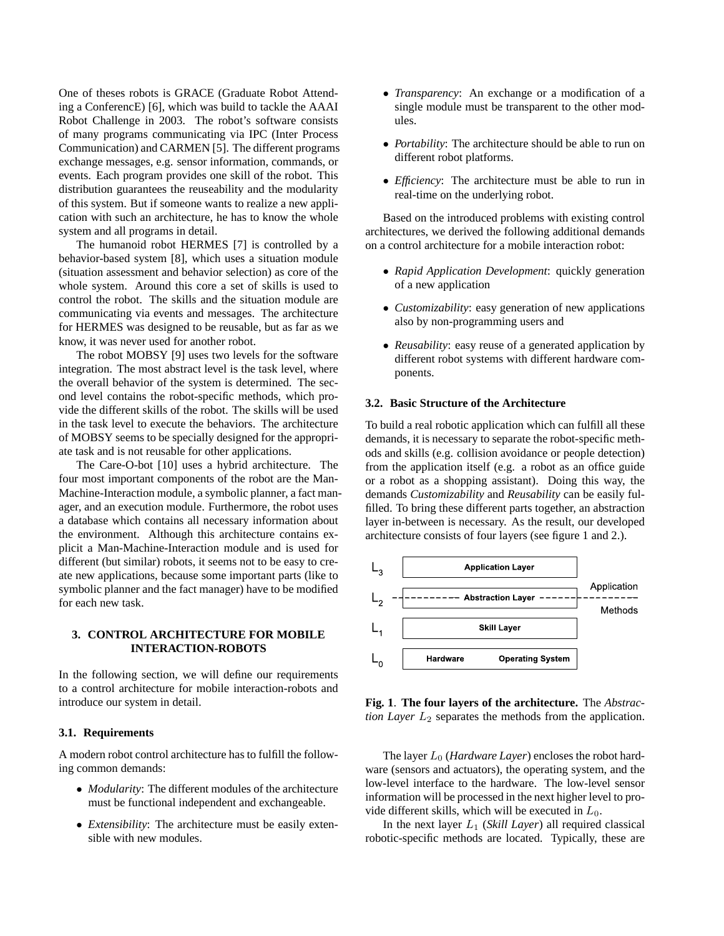One of theses robots is GRACE (Graduate Robot Attending a ConferencE) [6], which was build to tackle the AAAI Robot Challenge in 2003. The robot's software consists of many programs communicating via IPC (Inter Process Communication) and CARMEN [5]. The different programs exchange messages, e.g. sensor information, commands, or events. Each program provides one skill of the robot. This distribution guarantees the reuseability and the modularity of this system. But if someone wants to realize a new application with such an architecture, he has to know the whole system and all programs in detail.

The humanoid robot HERMES [7] is controlled by a behavior-based system [8], which uses a situation module (situation assessment and behavior selection) as core of the whole system. Around this core a set of skills is used to control the robot. The skills and the situation module are communicating via events and messages. The architecture for HERMES was designed to be reusable, but as far as we know, it was never used for another robot.

The robot MOBSY [9] uses two levels for the software integration. The most abstract level is the task level, where the overall behavior of the system is determined. The second level contains the robot-specific methods, which provide the different skills of the robot. The skills will be used in the task level to execute the behaviors. The architecture of MOBSY seems to be specially designed for the appropriate task and is not reusable for other applications.

The Care-O-bot [10] uses a hybrid architecture. The four most important components of the robot are the Man-Machine-Interaction module, a symbolic planner, a fact manager, and an execution module. Furthermore, the robot uses a database which contains all necessary information about the environment. Although this architecture contains explicit a Man-Machine-Interaction module and is used for different (but similar) robots, it seems not to be easy to create new applications, because some important parts (like to symbolic planner and the fact manager) have to be modified for each new task.

# **3. CONTROL ARCHITECTURE FOR MOBILE INTERACTION-ROBOTS**

In the following section, we will define our requirements to a control architecture for mobile interaction-robots and introduce our system in detail.

# **3.1. Requirements**

A modern robot control architecture has to fulfill the following common demands:

- *Modularity*: The different modules of the architecture must be functional independent and exchangeable.
- *Extensibility*: The architecture must be easily extensible with new modules.
- *Transparency*: An exchange or a modification of a single module must be transparent to the other modules.
- *Portability*: The architecture should be able to run on different robot platforms.
- *Efficiency*: The architecture must be able to run in real-time on the underlying robot.

Based on the introduced problems with existing control architectures, we derived the following additional demands on a control architecture for a mobile interaction robot:

- *Rapid Application Development*: quickly generation of a new application
- *Customizability*: easy generation of new applications also by non-programming users and
- *Reusability*: easy reuse of a generated application by different robot systems with different hardware components.

## **3.2. Basic Structure of the Architecture**

To build a real robotic application which can fulfill all these demands, it is necessary to separate the robot-specific methods and skills (e.g. collision avoidance or people detection) from the application itself (e.g. a robot as an office guide or a robot as a shopping assistant). Doing this way, the demands *Customizability* and *Reusability* can be easily fulfilled. To bring these different parts together, an abstraction layer in-between is necessary. As the result, our developed architecture consists of four layers (see figure 1 and 2.).



**Fig. 1**. **The four layers of the architecture.** The *Abstraction Layer*  $L_2$  separates the methods from the application.

The layer  $L_0$  (*Hardware Layer*) encloses the robot hardware (sensors and actuators), the operating system, and the low-level interface to the hardware. The low-level sensor information will be processed in the next higher level to provide different skills, which will be executed in  $L_0$ .

In the next layer  $L_1$  (*Skill Layer*) all required classical robotic-specific methods are located. Typically, these are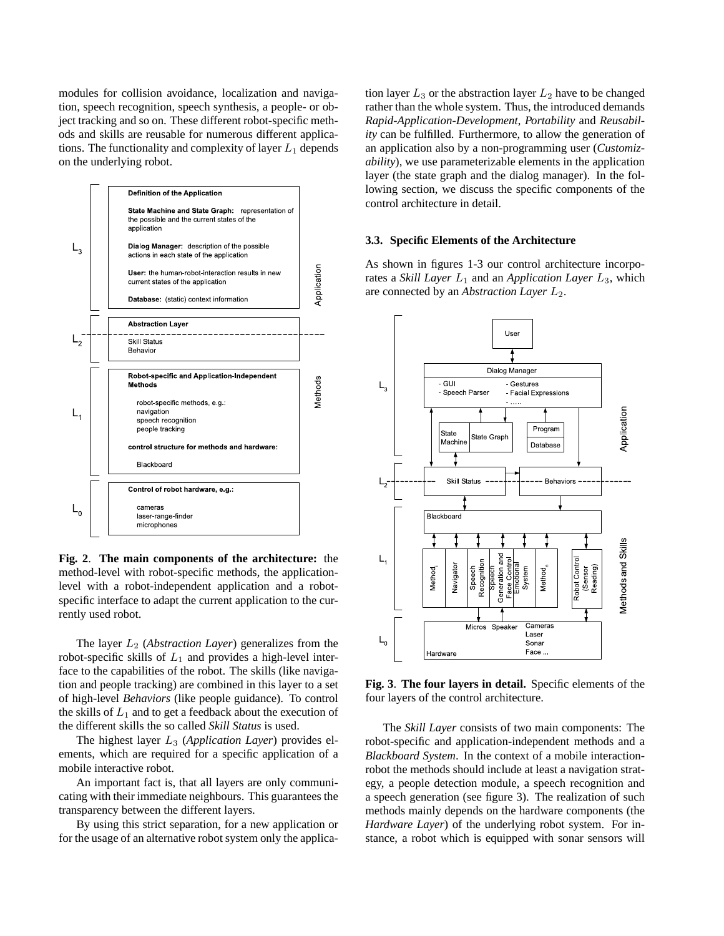modules for collision avoidance, localization and navigation, speech recognition, speech synthesis, a people- or object tracking and so on. These different robot-specific methods and skills are reusable for numerous different applications. The functionality and complexity of layer  $L_1$  depends on the underlying robot.



**Fig. 2**. **The main components of the architecture:** the method-level with robot-specific methods, the applicationlevel with a robot-independent application and a robotspecific interface to adapt the current application to the currently used robot.

The layer  $L_2$  (*Abstraction Layer*) generalizes from the robot-specific skills of  $L_1$  and provides a high-level interface to the capabilities of the robot. The skills (like navigation and people tracking) are combined in this layer to a set of high-level *Behaviors* (like people guidance). To control the skills of  $L_1$  and to get a feedback about the execution of the different skills the so called *Skill Status* is used.

The highest layer L<sup>3</sup> (*Application Layer*) provides elements, which are required for a specific application of a mobile interactive robot.

An important fact is, that all layers are only communicating with their immediate neighbours. This guarantees the transparency between the different layers.

By using this strict separation, for a new application or for the usage of an alternative robot system only the application layer  $L_3$  or the abstraction layer  $L_2$  have to be changed rather than the whole system. Thus, the introduced demands *Rapid-Application-Development*, *Portability* and *Reusability* can be fulfilled. Furthermore, to allow the generation of an application also by a non-programming user (*Customizability*), we use parameterizable elements in the application layer (the state graph and the dialog manager). In the following section, we discuss the specific components of the control architecture in detail.

### **3.3. Specific Elements of the Architecture**

As shown in figures 1-3 our control architecture incorporates a *Skill Layer*  $L_1$  and an *Application Layer*  $L_3$ , which are connected by an *Abstraction Layer*  $L_2$ .



**Fig. 3**. **The four layers in detail.** Specific elements of the four layers of the control architecture.

The *Skill Layer* consists of two main components: The robot-specific and application-independent methods and a *Blackboard System*. In the context of a mobile interactionrobot the methods should include at least a navigation strategy, a people detection module, a speech recognition and a speech generation (see figure 3). The realization of such methods mainly depends on the hardware components (the *Hardware Layer*) of the underlying robot system. For instance, a robot which is equipped with sonar sensors will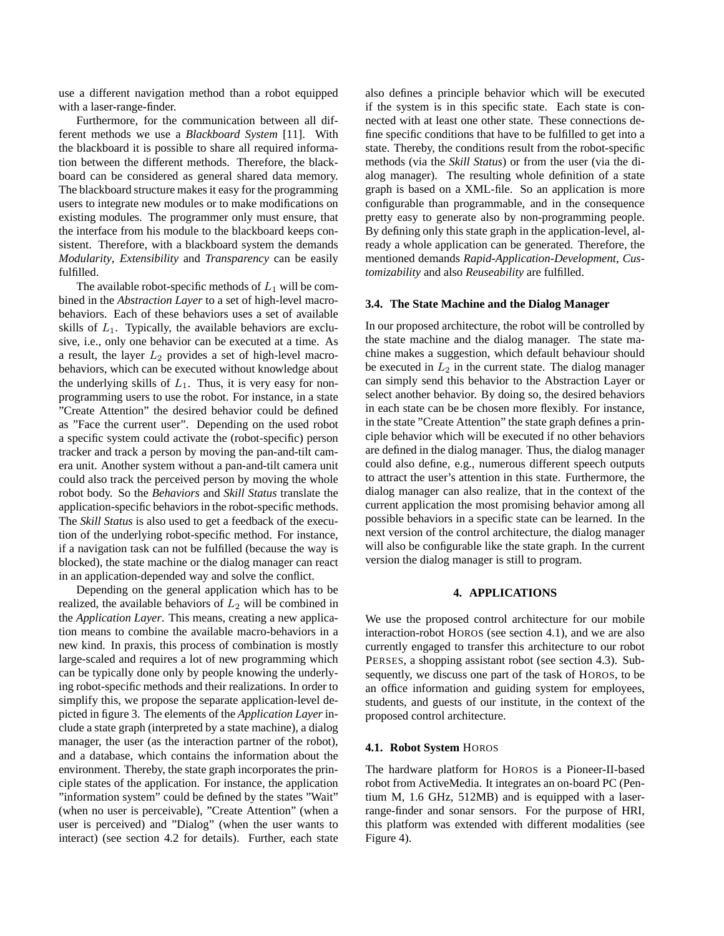use a different navigation method than a robot equipped with a laser-range-finder.

Furthermore, for the communication between all different methods we use a *Blackboard System* [11]. With the blackboard it is possible to share all required information between the different methods. Therefore, the blackboard can be considered as general shared data memory. The blackboard structure makes it easy for the programming users to integrate new modules or to make modifications on existing modules. The programmer only must ensure, that the interface from his module to the blackboard keeps consistent. Therefore, with a blackboard system the demands *Modularity*, *Extensibility* and *Transparency* can be easily fulfilled.

The available robot-specific methods of  $L_1$  will be combined in the *Abstraction Layer* to a set of high-level macrobehaviors. Each of these behaviors uses a set of available skills of  $L_1$ . Typically, the available behaviors are exclusive, i.e., only one behavior can be executed at a time. As a result, the layer  $L_2$  provides a set of high-level macrobehaviors, which can be executed without knowledge about the underlying skills of  $L_1$ . Thus, it is very easy for nonprogramming users to use the robot. For instance, in a state "Create Attention" the desired behavior could be defined as "Face the current user". Depending on the used robot a specific system could activate the (robot-specific) person tracker and track a person by moving the pan-and-tilt camera unit. Another system without a pan-and-tilt camera unit could also track the perceived person by moving the whole robot body. So the *Behaviors* and *Skill Status* translate the application-specific behaviors in the robot-specific methods. The *Skill Status* is also used to get a feedback of the execution of the underlying robot-specific method. For instance, if a navigation task can not be fulfilled (because the way is blocked), the state machine or the dialog manager can react in an application-depended way and solve the conflict.

Depending on the general application which has to be realized, the available behaviors of  $L_2$  will be combined in the *Application Layer*. This means, creating a new application means to combine the available macro-behaviors in a new kind. In praxis, this process of combination is mostly large-scaled and requires a lot of new programming which can be typically done only by people knowing the underlying robot-specific methods and their realizations. In order to simplify this, we propose the separate application-level depicted in figure 3. The elements of the *Application Layer* include a state graph (interpreted by a state machine), a dialog manager, the user (as the interaction partner of the robot), and a database, which contains the information about the environment. Thereby, the state graph incorporates the principle states of the application. For instance, the application "information system" could be defined by the states "Wait" (when no user is perceivable), "Create Attention" (when a user is perceived) and "Dialog" (when the user wants to interact) (see section 4.2 for details). Further, each state

also defines a principle behavior which will be executed if the system is in this specific state. Each state is connected with at least one other state. These connections define specific conditions that have to be fulfilled to get into a state. Thereby, the conditions result from the robot-specific methods (via the *Skill Status*) or from the user (via the dialog manager). The resulting whole definition of a state graph is based on a XML-file. So an application is more configurable than programmable, and in the consequence pretty easy to generate also by non-programming people. By defining only this state graph in the application-level, already a whole application can be generated. Therefore, the mentioned demands *Rapid-Application-Development*, *Customizability* and also *Reuseability* are fulfilled.

### **3.4. The State Machine and the Dialog Manager**

In our proposed architecture, the robot will be controlled by the state machine and the dialog manager. The state machine makes a suggestion, which default behaviour should be executed in  $L_2$  in the current state. The dialog manager can simply send this behavior to the Abstraction Layer or select another behavior. By doing so, the desired behaviors in each state can be be chosen more flexibly. For instance, in the state "Create Attention" the state graph defines a principle behavior which will be executed if no other behaviors are defined in the dialog manager. Thus, the dialog manager could also define, e.g., numerous different speech outputs to attract the user's attention in this state. Furthermore, the dialog manager can also realize, that in the context of the current application the most promising behavior among all possible behaviors in a specific state can be learned. In the next version of the control architecture, the dialog manager will also be configurable like the state graph. In the current version the dialog manager is still to program.

### **4. APPLICATIONS**

We use the proposed control architecture for our mobile interaction-robot HOROS (see section 4.1), and we are also currently engaged to transfer this architecture to our robot PERSES, a shopping assistant robot (see section 4.3). Subsequently, we discuss one part of the task of HOROS, to be an office information and guiding system for employees, students, and guests of our institute, in the context of the proposed control architecture.

#### **4.1. Robot System** HOROS

The hardware platform for HOROS is a Pioneer-II-based robot from ActiveMedia. It integrates an on-board PC (Pentium M, 1.6 GHz, 512MB) and is equipped with a laserrange-finder and sonar sensors. For the purpose of HRI, this platform was extended with different modalities (see Figure 4).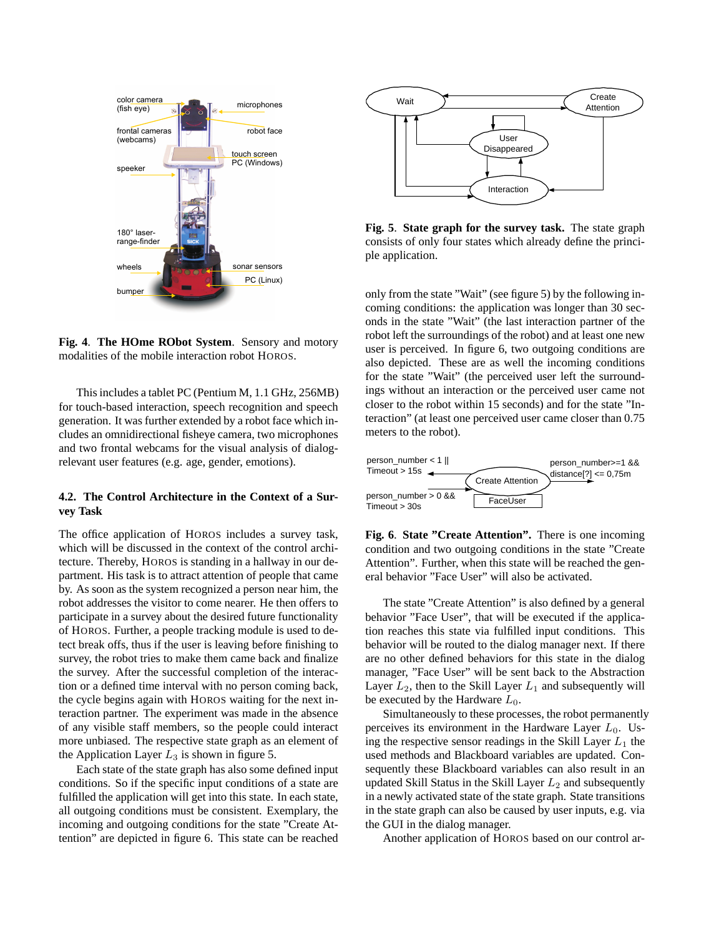

**Fig. 4**. **The HOme RObot System**. Sensory and motory modalities of the mobile interaction robot HOROS.

This includes a tablet PC (Pentium M, 1.1 GHz, 256MB) for touch-based interaction, speech recognition and speech generation. It was further extended by a robot face which includes an omnidirectional fisheye camera, two microphones and two frontal webcams for the visual analysis of dialogrelevant user features (e.g. age, gender, emotions).

# **4.2. The Control Architecture in the Context of a Survey Task**

The office application of HOROS includes a survey task, which will be discussed in the context of the control architecture. Thereby, HOROS is standing in a hallway in our department. His task is to attract attention of people that came by. As soon as the system recognized a person near him, the robot addresses the visitor to come nearer. He then offers to participate in a survey about the desired future functionality of HOROS. Further, a people tracking module is used to detect break offs, thus if the user is leaving before finishing to survey, the robot tries to make them came back and finalize the survey. After the successful completion of the interaction or a defined time interval with no person coming back, the cycle begins again with HOROS waiting for the next interaction partner. The experiment was made in the absence of any visible staff members, so the people could interact more unbiased. The respective state graph as an element of the Application Layer  $L_3$  is shown in figure 5.

Each state of the state graph has also some defined input conditions. So if the specific input conditions of a state are fulfilled the application will get into this state. In each state, all outgoing conditions must be consistent. Exemplary, the incoming and outgoing conditions for the state "Create Attention" are depicted in figure 6. This state can be reached



**Fig. 5**. **State graph for the survey task.** The state graph consists of only four states which already define the principle application.

only from the state "Wait" (see figure 5) by the following incoming conditions: the application was longer than 30 seconds in the state "Wait" (the last interaction partner of the robot left the surroundings of the robot) and at least one new user is perceived. In figure 6, two outgoing conditions are also depicted. These are as well the incoming conditions for the state "Wait" (the perceived user left the surroundings without an interaction or the perceived user came not closer to the robot within 15 seconds) and for the state "Interaction" (at least one perceived user came closer than 0.75 meters to the robot).





The state "Create Attention" is also defined by a general behavior "Face User", that will be executed if the application reaches this state via fulfilled input conditions. This behavior will be routed to the dialog manager next. If there are no other defined behaviors for this state in the dialog manager, "Face User" will be sent back to the Abstraction Layer  $L_2$ , then to the Skill Layer  $L_1$  and subsequently will be executed by the Hardware  $L_0$ .

Simultaneously to these processes, the robot permanently perceives its environment in the Hardware Layer  $L_0$ . Using the respective sensor readings in the Skill Layer  $L_1$  the used methods and Blackboard variables are updated. Consequently these Blackboard variables can also result in an updated Skill Status in the Skill Layer  $L_2$  and subsequently in a newly activated state of the state graph. State transitions in the state graph can also be caused by user inputs, e.g. via the GUI in the dialog manager.

Another application of HOROS based on our control ar-